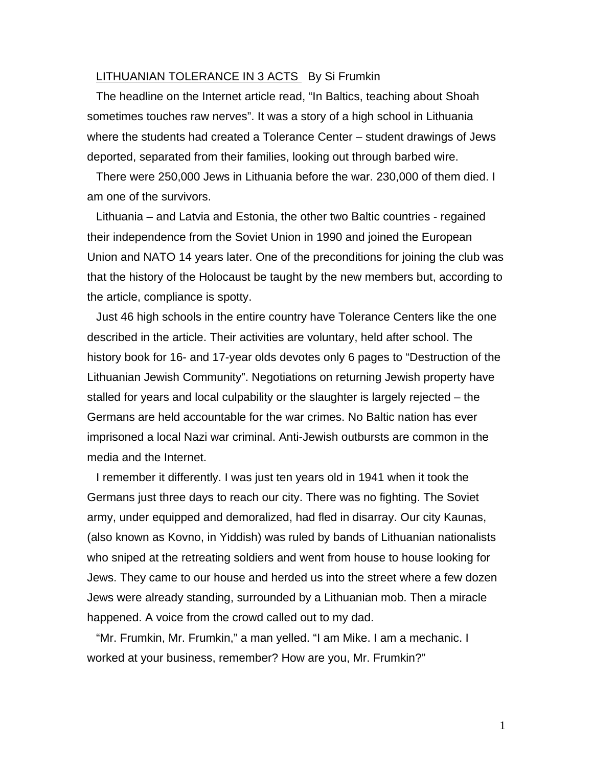## LITHUANIAN TOLERANCE IN 3 ACTS By Si Frumkin

The headline on the Internet article read, "In Baltics, teaching about Shoah sometimes touches raw nerves". It was a story of a high school in Lithuania where the students had created a Tolerance Center – student drawings of Jews deported, separated from their families, looking out through barbed wire.

There were 250,000 Jews in Lithuania before the war. 230,000 of them died. I am one of the survivors.

Lithuania – and Latvia and Estonia, the other two Baltic countries - regained their independence from the Soviet Union in 1990 and joined the European Union and NATO 14 years later. One of the preconditions for joining the club was that the history of the Holocaust be taught by the new members but, according to the article, compliance is spotty.

Just 46 high schools in the entire country have Tolerance Centers like the one described in the article. Their activities are voluntary, held after school. The history book for 16- and 17-year olds devotes only 6 pages to "Destruction of the Lithuanian Jewish Community". Negotiations on returning Jewish property have stalled for years and local culpability or the slaughter is largely rejected – the Germans are held accountable for the war crimes. No Baltic nation has ever imprisoned a local Nazi war criminal. Anti-Jewish outbursts are common in the media and the Internet.

I remember it differently. I was just ten years old in 1941 when it took the Germans just three days to reach our city. There was no fighting. The Soviet army, under equipped and demoralized, had fled in disarray. Our city Kaunas, (also known as Kovno, in Yiddish) was ruled by bands of Lithuanian nationalists who sniped at the retreating soldiers and went from house to house looking for Jews. They came to our house and herded us into the street where a few dozen Jews were already standing, surrounded by a Lithuanian mob. Then a miracle happened. A voice from the crowd called out to my dad.

"Mr. Frumkin, Mr. Frumkin," a man yelled. "I am Mike. I am a mechanic. I worked at your business, remember? How are you, Mr. Frumkin?"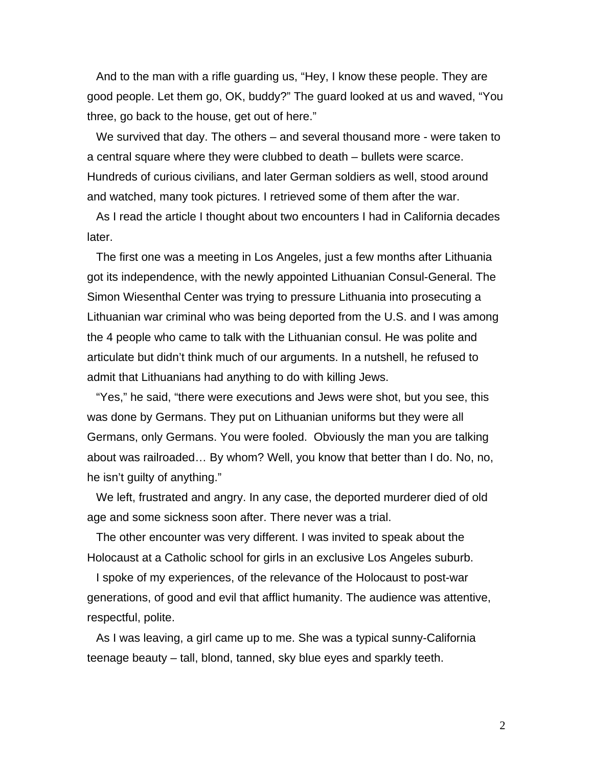And to the man with a rifle guarding us, "Hey, I know these people. They are good people. Let them go, OK, buddy?" The guard looked at us and waved, "You three, go back to the house, get out of here."

We survived that day. The others – and several thousand more - were taken to a central square where they were clubbed to death – bullets were scarce. Hundreds of curious civilians, and later German soldiers as well, stood around and watched, many took pictures. I retrieved some of them after the war.

As I read the article I thought about two encounters I had in California decades later.

The first one was a meeting in Los Angeles, just a few months after Lithuania got its independence, with the newly appointed Lithuanian Consul-General. The Simon Wiesenthal Center was trying to pressure Lithuania into prosecuting a Lithuanian war criminal who was being deported from the U.S. and I was among the 4 people who came to talk with the Lithuanian consul. He was polite and articulate but didn't think much of our arguments. In a nutshell, he refused to admit that Lithuanians had anything to do with killing Jews.

"Yes," he said, "there were executions and Jews were shot, but you see, this was done by Germans. They put on Lithuanian uniforms but they were all Germans, only Germans. You were fooled. Obviously the man you are talking about was railroaded… By whom? Well, you know that better than I do. No, no, he isn't guilty of anything."

We left, frustrated and angry. In any case, the deported murderer died of old age and some sickness soon after. There never was a trial.

The other encounter was very different. I was invited to speak about the Holocaust at a Catholic school for girls in an exclusive Los Angeles suburb.

I spoke of my experiences, of the relevance of the Holocaust to post-war generations, of good and evil that afflict humanity. The audience was attentive, respectful, polite.

As I was leaving, a girl came up to me. She was a typical sunny-California teenage beauty – tall, blond, tanned, sky blue eyes and sparkly teeth.

2